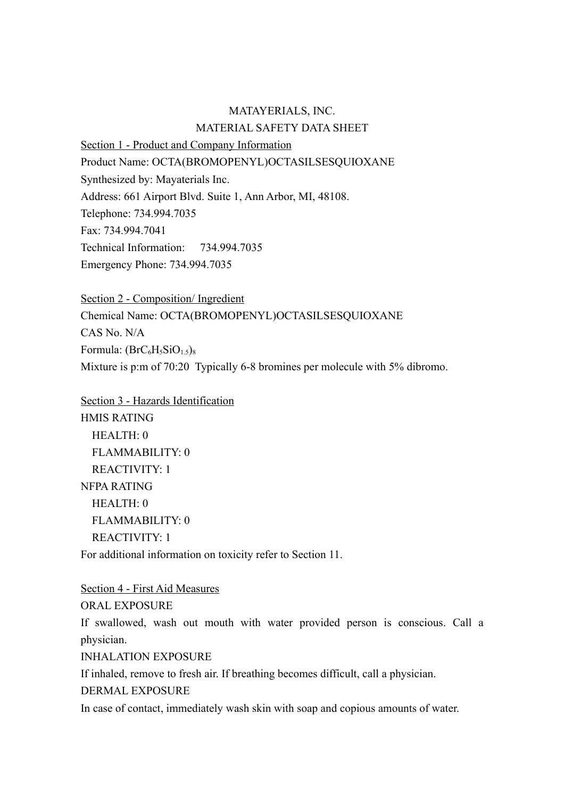## MATAYERIALS, INC. MATERIAL SAFETY DATA SHEET

Section 1 - Product and Company Information

Product Name: OCTA(BROMOPENYL)OCTASILSESQUIOXANE

Synthesized by: Mayaterials Inc.

Address: 661 Airport Blvd. Suite 1, Ann Arbor, MI, 48108.

Telephone: 734.994.7035

Fax: 734.994.7041

Technical Information: 734.994.7035

Emergency Phone: 734.994.7035

Section 2 - Composition/ Ingredient Chemical Name: OCTA(BROMOPENYL)OCTASILSESQUIOXANE CAS No. N/A Formula:  $(BrC_6H_5SiO_{1.5})_8$ Mixture is p:m of 70:20 Typically 6-8 bromines per molecule with 5% dibromo.

Section 3 - Hazards Identification HMIS RATING HEALTH: 0 FLAMMABILITY: 0 REACTIVITY: 1 NFPA RATING HEALTH: 0 FLAMMABILITY: 0 REACTIVITY: 1

For additional information on toxicity refer to Section 11.

Section 4 - First Aid Measures ORAL EXPOSURE

If swallowed, wash out mouth with water provided person is conscious. Call a physician.

INHALATION EXPOSURE

If inhaled, remove to fresh air. If breathing becomes difficult, call a physician.

DERMAL EXPOSURE

In case of contact, immediately wash skin with soap and copious amounts of water.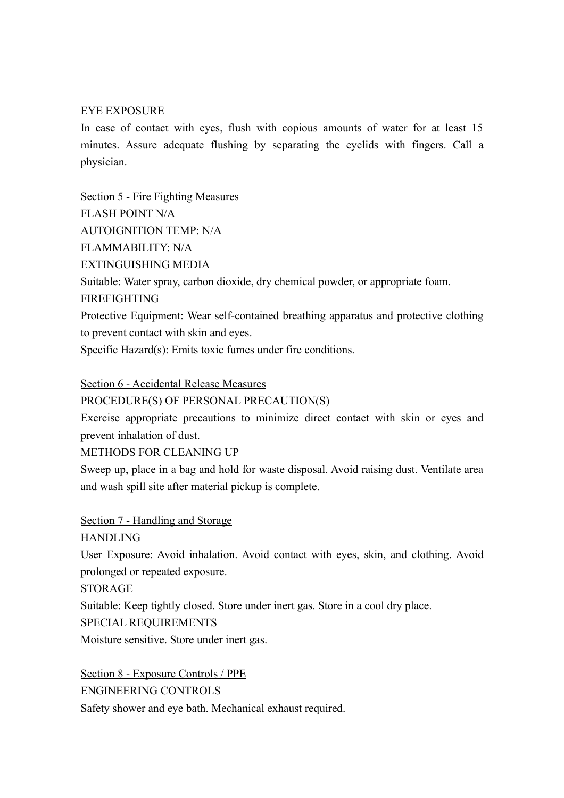## EYE EXPOSURE

In case of contact with eyes, flush with copious amounts of water for at least 15 minutes. Assure adequate flushing by separating the eyelids with fingers. Call a physician.

Section 5 - Fire Fighting Measures FLASH POINT N/A AUTOIGNITION TEMP: N/A FLAMMABILITY: N/A EXTINGUISHING MEDIA Suitable: Water spray, carbon dioxide, dry chemical powder, or appropriate foam. FIREFIGHTING Protective Equipment: Wear self-contained breathing apparatus and protective clothing to prevent contact with skin and eyes.

Specific Hazard(s): Emits toxic fumes under fire conditions.

Section 6 - Accidental Release Measures

PROCEDURE(S) OF PERSONAL PRECAUTION(S)

Exercise appropriate precautions to minimize direct contact with skin or eyes and prevent inhalation of dust.

METHODS FOR CLEANING UP

Sweep up, place in a bag and hold for waste disposal. Avoid raising dust. Ventilate area and wash spill site after material pickup is complete.

Section 7 - Handling and Storage

HANDLING

User Exposure: Avoid inhalation. Avoid contact with eyes, skin, and clothing. Avoid prolonged or repeated exposure.

**STORAGE** 

Suitable: Keep tightly closed. Store under inert gas. Store in a cool dry place.

SPECIAL REQUIREMENTS

Moisture sensitive. Store under inert gas.

Section 8 - Exposure Controls / PPE ENGINEERING CONTROLS Safety shower and eye bath. Mechanical exhaust required.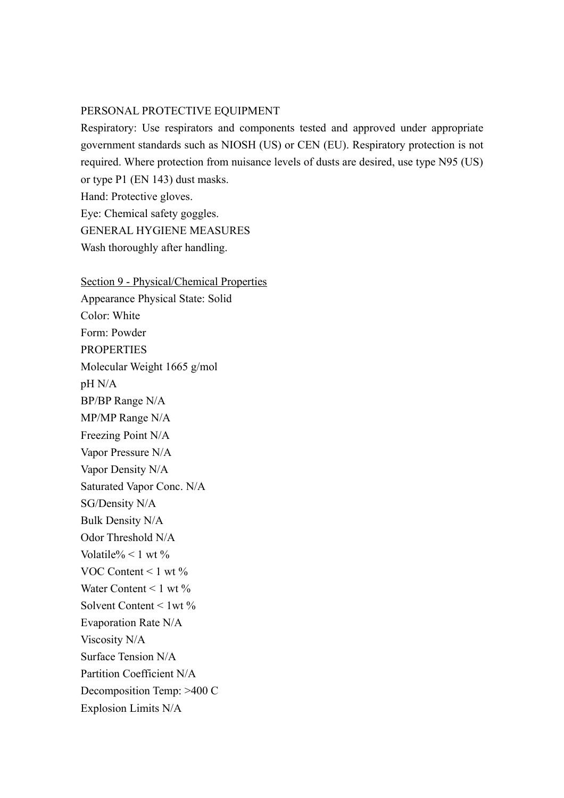## PERSONAL PROTECTIVE EQUIPMENT

Respiratory: Use respirators and components tested and approved under appropriate government standards such as NIOSH (US) or CEN (EU). Respiratory protection is not required. Where protection from nuisance levels of dusts are desired, use type N95 (US) or type P1 (EN 143) dust masks. Hand: Protective gloves. Eye: Chemical safety goggles. GENERAL HYGIENE MEASURES

Wash thoroughly after handling.

Section 9 - Physical/Chemical Properties Appearance Physical State: Solid Color: White Form: Powder **PROPERTIES** Molecular Weight 1665 g/mol pH N/A BP/BP Range N/A MP/MP Range N/A Freezing Point N/A Vapor Pressure N/A Vapor Density N/A Saturated Vapor Conc. N/A SG/Density N/A Bulk Density N/A Odor Threshold N/A Volatile%  $< 1$  wt % VOC Content  $\leq 1$  wt  $\%$ Water Content  $\leq 1$  wt  $\%$ Solvent Content < 1wt % Evaporation Rate N/A Viscosity N/A Surface Tension N/A Partition Coefficient N/A Decomposition Temp: >400 C Explosion Limits N/A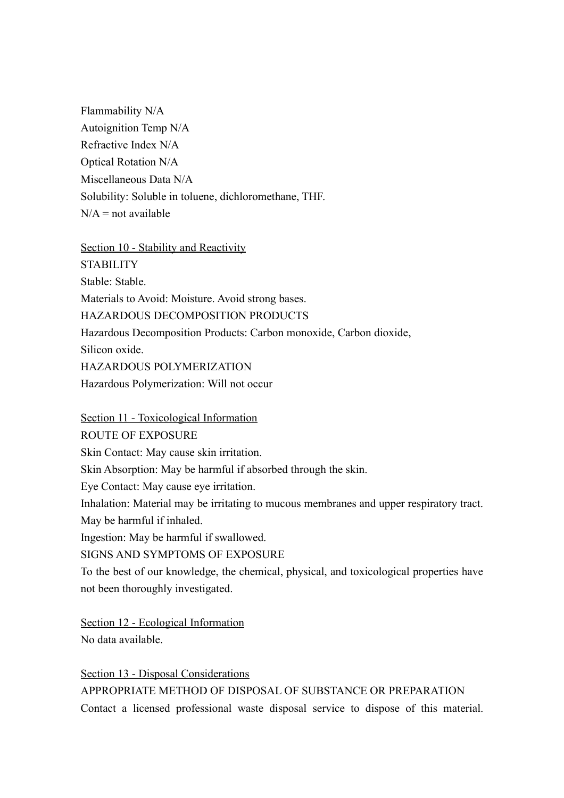Flammability N/A Autoignition Temp N/A Refractive Index N/A Optical Rotation N/A Miscellaneous Data N/A Solubility: Soluble in toluene, dichloromethane, THF.  $N/A$  = not available

Section 10 - Stability and Reactivity

**STABILITY** Stable: Stable. Materials to Avoid: Moisture. Avoid strong bases. HAZARDOUS DECOMPOSITION PRODUCTS Hazardous Decomposition Products: Carbon monoxide, Carbon dioxide, Silicon oxide. HAZARDOUS POLYMERIZATION Hazardous Polymerization: Will not occur

Section 11 - Toxicological Information

ROUTE OF EXPOSURE

Skin Contact: May cause skin irritation.

Skin Absorption: May be harmful if absorbed through the skin.

Eye Contact: May cause eye irritation.

Inhalation: Material may be irritating to mucous membranes and upper respiratory tract.

May be harmful if inhaled.

Ingestion: May be harmful if swallowed.

SIGNS AND SYMPTOMS OF EXPOSURE

To the best of our knowledge, the chemical, physical, and toxicological properties have not been thoroughly investigated.

Section 12 - Ecological Information No data available.

Section 13 - Disposal Considerations APPROPRIATE METHOD OF DISPOSAL OF SUBSTANCE OR PREPARATION Contact a licensed professional waste disposal service to dispose of this material.